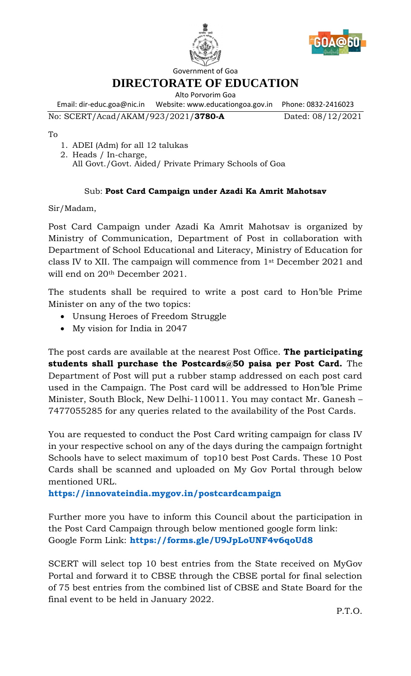



Government of Goa

**DIRECTORATE OF EDUCATION**

Alto Porvorim Goa

Email: dir-educ.goa@nic.in Website: www.educationgoa.gov.in Phone: 0832-2416023 No: SCERT/Acad/AKAM/923/2021/**3780-A** Dated: 08/12/2021

To

- 1. ADEI (Adm) for all 12 talukas
- 2. Heads / In-charge, All Govt./Govt. Aided/ Private Primary Schools of Goa

## Sub: **Post Card Campaign under Azadi Ka Amrit Mahotsav**

Sir/Madam,

Post Card Campaign under Azadi Ka Amrit Mahotsav is organized by Ministry of Communication, Department of Post in collaboration with Department of School Educational and Literacy, Ministry of Education for class IV to XII. The campaign will commence from 1st December 2021 and will end on 20th December 2021.

The students shall be required to write a post card to Hon'ble Prime Minister on any of the two topics:

- Unsung Heroes of Freedom Struggle
- My vision for India in 2047

The post cards are available at the nearest Post Office. **The participating students shall purchase the Postcards@50 paisa per Post Card.** The Department of Post will put a rubber stamp addressed on each post card used in the Campaign. The Post card will be addressed to Hon'ble Prime Minister, South Block, New Delhi-110011. You may contact Mr. Ganesh – 7477055285 for any queries related to the availability of the Post Cards.

You are requested to conduct the Post Card writing campaign for class IV in your respective school on any of the days during the campaign fortnight Schools have to select maximum of top10 best Post Cards. These 10 Post Cards shall be scanned and uploaded on My Gov Portal through below mentioned URL.

**<https://innovateindia.mygov.in/postcardcampaign>**

Further more you have to inform this Council about the participation in the Post Card Campaign through below mentioned google form link: Google Form Link: **<https://forms.gle/U9JpLoUNF4v6qoUd8>**

SCERT will select top 10 best entries from the State received on MyGov Portal and forward it to CBSE through the CBSE portal for final selection of 75 best entries from the combined list of CBSE and State Board for the final event to be held in January 2022.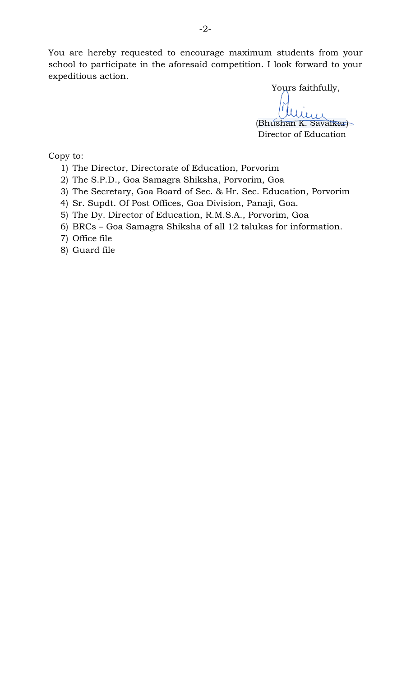You are hereby requested to encourage maximum students from your school to participate in the aforesaid competition. I look forward to your expeditious action.

Yours faithfully,

(Bhushan K. Savaikar) Director of Education

Copy to:

- 1) The Director, Directorate of Education, Porvorim
- 2) The S.P.D., Goa Samagra Shiksha, Porvorim, Goa
- 3) The Secretary, Goa Board of Sec. & Hr. Sec. Education, Porvorim
- 4) Sr. Supdt. Of Post Offices, Goa Division, Panaji, Goa.
- 5) The Dy. Director of Education, R.M.S.A., Porvorim, Goa
- 6) BRCs Goa Samagra Shiksha of all 12 talukas for information.
- 7) Office file
- 8) Guard file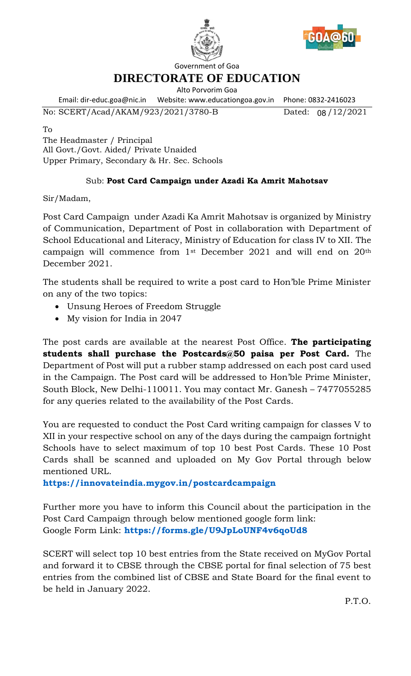



Government of Goa

**DIRECTORATE OF EDUCATION**

Alto Porvorim Goa

Email: dir-educ.goa@nic.in Website: www.educationgoa.gov.in Phone: 0832-2416023 No: SCERT/Acad/AKAM/923/2021/3780-B

Dated:  $08/12/2021$ 

To

The Headmaster / Principal All Govt./Govt. Aided/ Private Unaided Upper Primary, Secondary & Hr. Sec. Schools

## Sub: **Post Card Campaign under Azadi Ka Amrit Mahotsav**

Sir/Madam,

Post Card Campaign under Azadi Ka Amrit Mahotsav is organized by Ministry of Communication, Department of Post in collaboration with Department of School Educational and Literacy, Ministry of Education for class IV to XII. The campaign will commence from 1st December 2021 and will end on 20th December 2021.

The students shall be required to write a post card to Hon'ble Prime Minister on any of the two topics:

- Unsung Heroes of Freedom Struggle
- My vision for India in 2047

The post cards are available at the nearest Post Office. **The participating students shall purchase the Postcards@50 paisa per Post Card.** The Department of Post will put a rubber stamp addressed on each post card used in the Campaign. The Post card will be addressed to Hon'ble Prime Minister, South Block, New Delhi-110011. You may contact Mr. Ganesh – 7477055285 for any queries related to the availability of the Post Cards.

You are requested to conduct the Post Card writing campaign for classes V to XII in your respective school on any of the days during the campaign fortnight Schools have to select maximum of top 10 best Post Cards. These 10 Post Cards shall be scanned and uploaded on My Gov Portal through below mentioned URL.

**<https://innovateindia.mygov.in/postcardcampaign>**

Further more you have to inform this Council about the participation in the Post Card Campaign through below mentioned google form link: Google Form Link: **<https://forms.gle/U9JpLoUNF4v6qoUd8>**

SCERT will select top 10 best entries from the State received on MyGov Portal and forward it to CBSE through the CBSE portal for final selection of 75 best entries from the combined list of CBSE and State Board for the final event to be held in January 2022.

P.T.O.